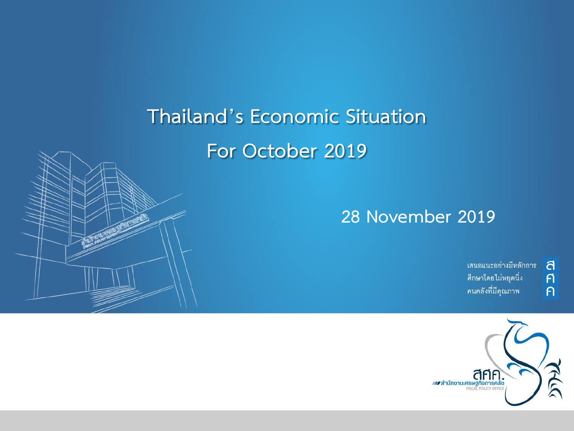## **Thailand's Economic Situation For October 2019**



้เสนอแนะอย่างมีหลักการ ศึกษาโดยไม่หยุดนิ่ง คนคลังที่มีคุณภาพ

ิส<br>ศ

 $\overline{P}$ 

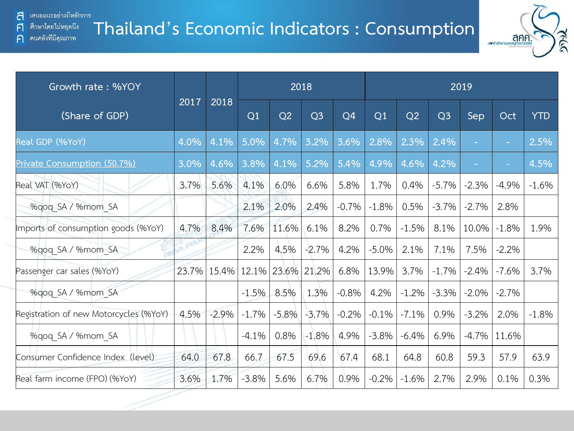F

 $\bigcap$ 

#### **Thailand's Economic Indicators : Consumption** ์ ศึกษาโดยไม่หยุดนี้ง คนคลังที่มีคุณภาพ



| Growth rate: %YOY                      |           |         |         |         | 2018           |                |         |         |                | 2019    |          |            |
|----------------------------------------|-----------|---------|---------|---------|----------------|----------------|---------|---------|----------------|---------|----------|------------|
| (Share of GDP)                         | 2017      | 2018    | Q1      | Q2      | Q <sub>3</sub> | Q <sub>4</sub> | Q1      | Q2      | Q <sub>3</sub> | Sep     | Oct      | <b>YTD</b> |
| Real GDP (%YoY)                        | 4.0%      | 4.1%    | 5.0%    | 4.7%    | 3.2%           | 3.6%           | 2.8%    | 2.3%    | 2.4%           | ٠       | $\sim$ 1 | 2.5%       |
| Private Consumption (50.7%)            | 3.0%      | 4.6%    | 3.8%    | 4.1%    | 5.2%           | 5.4%           | 4.9%    | 4.6%    | 4.2%           | ۰       | ÷        | 4.5%       |
| Real VAT (%YoY)                        | 3.7%      | 5.6%    | 4.1%    | 6.0%    | 6.6%           | 5.8%           | 1.7%    | 0.4%    | $-5.7%$        | $-2.3%$ | $-4.9%$  | $-1.6%$    |
| %qoq SA / %mom SA                      |           |         | 2.1%    | 2.0%    | 2.4%           | $-0.7%$        | $-1.8%$ | 0.5%    | $-3.7\%$       | $-2.7%$ | 2.8%     |            |
| Imports of consumption goods (%YoY)    | 4.7%      | 8.4%    | 7.6%    | 11.6%   | 6.1%           | 8.2%           | 0.7%    | $-1.5%$ | 8.1%           | 10.0%   | $-1.8%$  | 1.9%       |
| %gog SA / %mom SA                      | <b>PO</b> |         | 2.2%    | 4.5%    | $-2.7%$        | 4.2%           | $-5.0%$ | 2.1%    | 7.1%           | 7.5%    | $-2.2%$  |            |
| Passenger car sales (%YoY)             | 23.7%     | 15.4%   | 12.1%   | 23.6%   | 21.2%          | 6.8%           | 13.9%   | 3.7%    | $-1.7%$        | $-2.4%$ | $-7.6%$  | 3.7%       |
| %gog SA / %mom SA                      |           |         | $-1.5%$ | 8.5%    | 1.3%           | $-0.8%$        | 4.2%    | $-1.2%$ | $-3.3%$        | $-2.0%$ | $-2.7%$  |            |
| Registration of new Motorcycles (%YoY) | 4.5%      | $-2.9%$ | $-1.7%$ | $-5.8%$ | $-3.7%$        | $-0.2%$        | $-0.1%$ | $-7.1%$ | 0.9%           | $-3.2%$ | 2.0%     | $-1.8%$    |
| %qoq SA / %mom SA                      |           |         | $-4.1%$ | 0.8%    | $-1.8%$        | 4.9%           | $-3.8%$ | $-6.4%$ | 6.9%           | $-4.7%$ | 11.6%    |            |
| Consumer Confidence Index (level)      | 64.0      | 67.8    | 66.7    | 67.5    | 69.6           | 67.4           | 68.1    | 64.8    | 60.8           | 59.3    | 57.9     | 63.9       |
| Real farm income (FPO) (%YoY)          | 3.6%      | 1.7%    | $-3.8%$ | 5.6%    | 6.7%           | 0.9%           | $-0.2%$ | $-1.6%$ | 2.7%           | 2.9%    | 0.1%     | 0.3%       |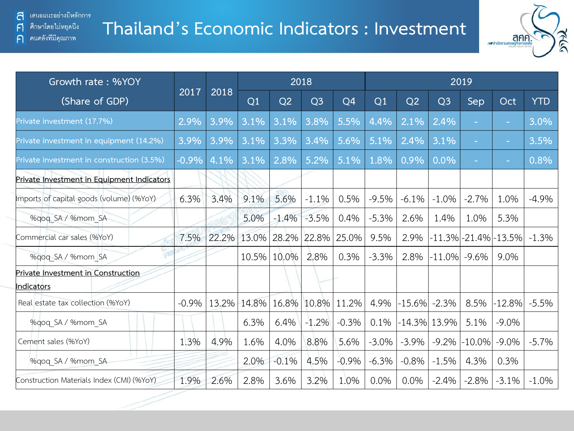คนคลังที่มีคุณภาพ

 $\mathsf{F}$ 

 $\bigcap$ 

### **Thailand's Economic Indicators : Investment**



| Growth rate: %YOY                                       |          |       |       |         | 2018           |         | 2019           |                 |                |                          |                      |            |  |  |
|---------------------------------------------------------|----------|-------|-------|---------|----------------|---------|----------------|-----------------|----------------|--------------------------|----------------------|------------|--|--|
| (Share of GDP)                                          | 2017     | 2018  | Q1    | Q2      | Q <sub>3</sub> | Q4      | Q <sub>1</sub> | Q2              | Q <sub>3</sub> | Sep                      | Oct                  | <b>YTD</b> |  |  |
| Private investment (17.7%)                              | 2.9%     | 3.9%  | 3.1%  | 3.1%    | 3.8%           | 5.5%    | 4.4%           | 2.1%            | 2.4%           | $\sim$                   | $\sim$               | 3.0%       |  |  |
| Private investment in equipment (14.2%)                 | 3.9%     | 3.9%  | 3.1%  | 3.3%    | 3.4%           | 5.6%    | 5.1%           | 2.4%            | 3.1%           | ٠                        | $\sim$               | 3.5%       |  |  |
| Private investment in construction (3.5%)               | $-0.9\%$ | 4.1%  | 3.1%  | 2.8%    | 5.2%           | 5.1%    | 1.8%           | 0.9%            | 0.0%           | $\overline{\phantom{a}}$ | ÷                    | 0.8%       |  |  |
| Private Investment in Equipment Indicators              |          |       |       |         |                |         |                |                 |                |                          |                      |            |  |  |
| Imports of capital goods (volume) (%YoY)                | 6.3%     | 3.4%  | 9.1%  | 5.6%    | $-1.1%$        | 0.5%    | $-9.5%$        | $-6.1%$         | $-1.0%$        | $-2.7%$                  | 1.0%                 | $-4.9%$    |  |  |
| %gog SA / %mom SA                                       |          |       | 5.0%  | $-1.4%$ | $-3.5%$        | 0.4%    | $-5.3%$        | 2.6%            | 1.4%           | 1.0%                     | 5.3%                 |            |  |  |
| Commercial car sales (%YoY)                             | 7.5%     | 22.2% | 13.0% | 28.2%   | 22.8%          | 25.0%   | 9.5%           | 2.9%            |                |                          | -11.3% -21.4% -13.5% | $-1.3%$    |  |  |
| %gog SA / %mom SA                                       |          |       | 10.5% | 10.0%   | 2.8%           | 0.3%    | $-3.3%$        | 2.8%            | $-11.0\%$      | $-9.6\%$                 | 9.0%                 |            |  |  |
| Private Investment in Construction<br><b>Indicators</b> |          |       |       |         |                |         |                |                 |                |                          |                      |            |  |  |
| Real estate tax collection (%YoY)                       | $-0.9%$  | 13.2% | 14.8% | 16.8%   | 10.8%          | 11.2%   | 4.9%           | $-15.6%$        | $-2.3%$        | 8.5%                     | $ -12.8\% $          | $-5.5%$    |  |  |
| %gog SA / %mom SA                                       |          |       | 6.3%  | 6.4%    | $-1.2%$        | $-0.3%$ | 0.1%           | $-14.3\%$ 13.9% |                | 5.1%                     | $-9.0\%$             |            |  |  |
| Cement sales (%YoY)                                     | 1.3%     | 4.9%  | 1.6%  | 4.0%    | 8.8%           | 5.6%    | $-3.0%$        | $-3.9\%$        | $-9.2%$        | $-10.0\%$                | $-9.0\%$             | $-5.7\%$   |  |  |
| %gog SA / %mom SA                                       |          |       | 2.0%  | $-0.1%$ | 4.5%           | $-0.9%$ | $-6.3%$        | $-0.8%$         | $-1.5%$        | 4.3%                     | 0.3%                 |            |  |  |
| Construction Materials Index (CMI) (%YoY)               | 1.9%     | 2.6%  | 2.8%  | 3.6%    | 3.2%           | 1.0%    | 0.0%           | 0.0%            | $-2.4%$        | $-2.8%$                  | $-3.1%$              | $-1.0%$    |  |  |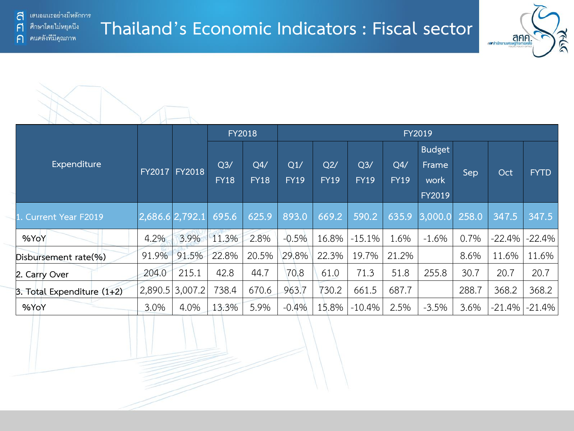ิคนคลังที่มีคุณภาพ

 $\bigcap$ 

#### **Thailand's Economic Indicators : Fiscal sector**





|                              |                   |                   | <b>FY2018</b>                                                                                   |       | <b>FY2019</b>                 |                    |                                |       |                   |             |          |          |  |  |  |
|------------------------------|-------------------|-------------------|-------------------------------------------------------------------------------------------------|-------|-------------------------------|--------------------|--------------------------------|-------|-------------------|-------------|----------|----------|--|--|--|
| Expenditure                  | <b>FY2017</b>     | <b>FY2018</b>     | Q <sub>3</sub><br>Q4/<br>Q1/<br>Q2/<br><b>FY18</b><br><b>FY19</b><br><b>FY18</b><br><b>FY19</b> |       | Q <sub>3</sub><br><b>FY19</b> | Q4/<br><b>FY19</b> | <b>Budget</b><br>Frame<br>work | Sep   | Oct               | <b>FYTD</b> |          |          |  |  |  |
|                              |                   |                   |                                                                                                 |       |                               |                    |                                |       | FY2019            |             |          |          |  |  |  |
| 1. Current Year F2019        | $2,686.6$ 2,792.1 |                   | 695.6                                                                                           | 625.9 | 893.0                         | 669.2              | 590.2                          | 635.9 | $ 3,000.0 $ 258.0 |             | 347.5    | 347.5    |  |  |  |
| %YoY                         | 4.2%              | 3.9%              | 11.3%                                                                                           | 2.8%  | $-0.5%$                       | 16.8%              | $-15.1%$                       | 1.6%  | $-1.6%$           | 0.7%        | $-22.4%$ | $-22.4%$ |  |  |  |
| Disbursement rate(%)         | 91.9%             | 91.5%             | 22.8%                                                                                           | 20.5% | 29.8%                         | 22.3%              | 19.7%                          | 21.2% |                   | 8.6%        | 11.6%    | 11.6%    |  |  |  |
| 2. Carry Over                | 204.0             | 215.1             | 42.8                                                                                            | 44.7  | 70.8                          | 61.0               | 71.3                           | 51.8  | 255.8             | 30.7        | 20.7     | 20.7     |  |  |  |
| 3. Total Expenditure $(1+2)$ |                   | $2,890.5$ 3,007.2 | 738.4                                                                                           | 670.6 | 963.7                         | 730.2              | 661.5                          | 687.7 |                   | 288.7       | 368.2    | 368.2    |  |  |  |
| %YoY                         | 3.0%              | 4.0%              | 13.3%                                                                                           | 5.9%  | $-0.4%$                       | 15.8%              | $-10.4%$                       | 2.5%  | $-3.5%$           | 3.6%        | $-21.4%$ | $-21.4%$ |  |  |  |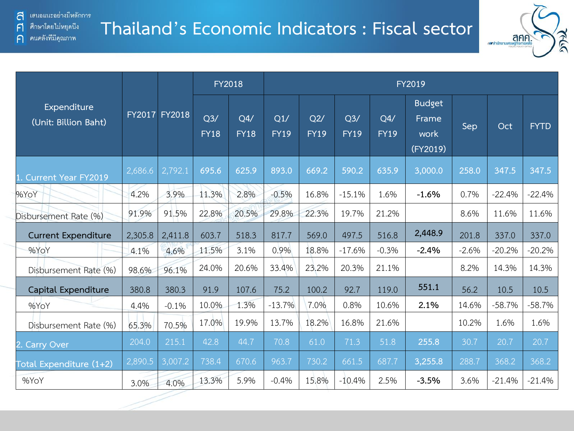คนคลังที่มีคุณภาพ

 $\mathsf{F}$ 

 $\bigcap$ 

#### **Thailand's Economic Indicators : Fiscal sector**



|                                     |         |               |                    | FY2018             | FY2019             |                    |                    |                    |                                            |         |          |             |  |  |  |
|-------------------------------------|---------|---------------|--------------------|--------------------|--------------------|--------------------|--------------------|--------------------|--------------------------------------------|---------|----------|-------------|--|--|--|
| Expenditure<br>(Unit: Billion Baht) |         | FY2017 FY2018 | Q3/<br><b>FY18</b> | Q4/<br><b>FY18</b> | Q1/<br><b>FY19</b> | Q2/<br><b>FY19</b> | Q3/<br><b>FY19</b> | Q4/<br><b>FY19</b> | <b>Budget</b><br>Frame<br>work<br>(FY2019) | Sep     | Oct      | <b>FYTD</b> |  |  |  |
| <b>Current Year FY2019</b>          | 2,686.6 | 2,792.1       | 695.6              | 625.9              | 893.0              | 669.2              | 590.2              | 635.9              | 3,000.0                                    | 258.0   | 347.5    | 347.5       |  |  |  |
| %YoY                                | 4.2%    | 3.9%          | 11.3%              | 2.8%               | $-0.5%$            | 16.8%              | $-15.1%$           | 1.6%               | $-1.6%$                                    | 0.7%    | $-22.4%$ | $-22.4%$    |  |  |  |
| Disbursement Rate (%)               | 91.9%   | 91.5%         | 22.8%              | 20.5%              | 29.8%              | 22.3%              | 19.7%              | 21.2%              |                                            | 8.6%    | 11.6%    | 11.6%       |  |  |  |
| <b>Current Expenditure</b>          | 2,305.8 | 2,411.8       | 603.7              | 518.3              | 817.7              | 569.0              | 497.5              | 516.8              | 2,448.9                                    | 201.8   | 337.0    | 337.0       |  |  |  |
| %YoY                                | 4.1%    | 4.6%          | 11.5%              | 3.1%               | 0.9%               | 18.8%              | $-17.6%$           | $-0.3%$            | $-2.4%$                                    | $-2.6%$ | $-20.2%$ | $-20.2%$    |  |  |  |
| Disbursement Rate (%)               | 98.6%   | 96.1%         | 24.0%              | 20.6%              | 33.4%              | 23.2%              | 20.3%              | 21.1%              |                                            | 8.2%    | 14.3%    | 14.3%       |  |  |  |
| Capital Expenditure                 | 380.8   | 380.3         | 91.9               | 107.6              | 75.2               | 100.2              | 92.7               | 119.0              | 551.1                                      | 56.2    | 10.5     | 10.5        |  |  |  |
| %YoY                                | 4.4%    | $-0.1%$       | 10.0%              | 1.3%               | $-13.7%$           | 7.0%               | 0.8%               | 10.6%              | 2.1%                                       | 14.6%   | $-58.7%$ | $-58.7%$    |  |  |  |
| Disbursement Rate (%)               | 65.3%   | 70.5%         | 17.0%              | 19.9%              | 13.7%              | 18.2%              | 16.8%              | 21.6%              |                                            | 10.2%   | 1.6%     | 1.6%        |  |  |  |
| <b>Carry Over</b>                   | 204.0   | 215.1         | 42.8               | 44.7               | 70.8               | 61.0               | 71.3               | 51.8               | 255.8                                      | 30.7    | 20.7     | 20.7        |  |  |  |
| Fotal Expenditure (1+2)             | 2,890.5 | 3,007.2       | 738.4              | 670.6              | 963.7              | 730.2              | 661.5              | 687.7              | 3,255.8                                    | 288.7   | 368.2    | 368.2       |  |  |  |
| %YoY                                | 3.0%    | 4.0%          | 13.3%              | 5.9%               | $-0.4%$            | 15.8%              | $-10.4%$           | 2.5%               | $-3.5%$                                    | 3.6%    | $-21.4%$ | $-21.4%$    |  |  |  |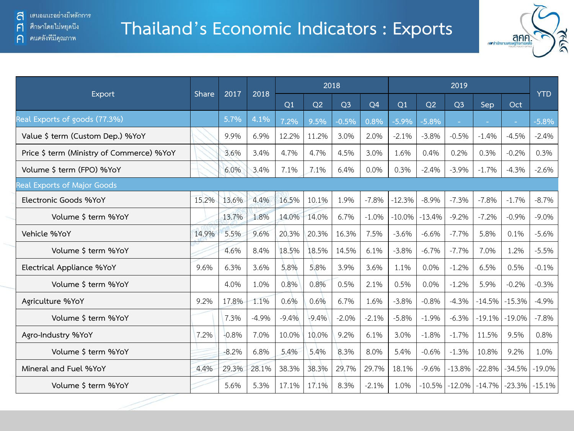#### **Thailand's Economic Indicators : Exports**



|                                           |              |         |         |         |         | 2018           |                |          |          | 2019           |          |          |            |
|-------------------------------------------|--------------|---------|---------|---------|---------|----------------|----------------|----------|----------|----------------|----------|----------|------------|
| Export                                    | <b>Share</b> | 2017    | 2018    | Q1      | Q2      | Q <sub>3</sub> | Q <sub>4</sub> | Q1       | Q2       | Q <sub>3</sub> | Sep      | Oct      | <b>YTD</b> |
| Real Exports of goods (77.3%)             |              | 5.7%    | 4.1%    | 7.2%    | 9.5%    | $-0.5%$        | 0.8%           | $-5.9%$  | $-5.8%$  |                |          |          | $-5.8%$    |
| Value \$ term (Custom Dep.) %YoY          |              | 9.9%    | 6.9%    | 12.2%   | 11.2%   | 3.0%           | 2.0%           | $-2.1%$  | $-3.8%$  | $-0.5%$        | $-1.4%$  | $-4.5%$  | $-2.4%$    |
| Price \$ term (Ministry of Commerce) %YoY |              | 3.6%    | 3.4%    | 4.7%    | 4.7%    | 4.5%           | 3.0%           | 1.6%     | 0.4%     | 0.2%           | 0.3%     | $-0.2%$  | 0.3%       |
| Volume \$ term (FPO) %YoY                 |              | 6.0%    | 3.4%    | 7.1%    | 7.1%    | 6.4%           | 0.0%           | 0.3%     | $-2.4%$  | $-3.9%$        | $-1.7%$  | $-4.3%$  | $-2.6%$    |
| <b>Real Exports of Major Goods</b>        |              |         |         |         |         |                |                |          |          |                |          |          |            |
| Electronic Goods %YoY                     | 15.2%        | 13.6%   | 4.4%    | 16.5%   | 10.1%   | 1.9%           | $-7.8%$        | $-12.3%$ | $-8.9%$  | $-7.3%$        | $-7.8%$  | $-1.7%$  | $-8.7%$    |
| Volume \$ term %YoY                       |              | 13.7%   | 1.8%    | 14.0%   | 14.0%   | 6.7%           | $-1.0%$        | $-10.0%$ | $-13.4%$ | $-9.2%$        | $-7.2%$  | $-0.9%$  | $-9.0%$    |
| Vehicle %YoY                              | 14.9%        | 5.5%    | 9.6%    | 20.3%   | 20.3%   | 16.3%          | 7.5%           | $-3.6%$  | $-6.6%$  | $-7.7%$        | 5.8%     | 0.1%     | $-5.6%$    |
| Volume \$ term %YoY                       |              | 4.6%    | 8.4%    | 18.5%   | 18.5%   | 14.5%          | 6.1%           | $-3.8%$  | $-6.7%$  | $-7.7%$        | 7.0%     | 1.2%     | $-5.5%$    |
| Electrical Appliance %YoY                 | 9.6%         | 6.3%    | 3.6%    | 5.8%    | 5.8%    | 3.9%           | 3.6%           | 1.1%     | 0.0%     | $-1.2%$        | 6.5%     | 0.5%     | $-0.1%$    |
| Volume \$ term %YoY                       |              | 4.0%    | 1.0%    | 0.8%    | 0.8%    | 0.5%           | 2.1%           | 0.5%     | 0.0%     | $-1.2%$        | 5.9%     | $-0.2%$  | $-0.3%$    |
| Agriculture %YoY                          | 9.2%         | 17.8%   | 1.1%    | 0.6%    | 0.6%    | 6.7%           | 1.6%           | $-3.8%$  | $-0.8%$  | $-4.3%$        | $-14.5%$ | $-15.3%$ | $-4.9%$    |
| Volume \$ term %YoY                       |              | 7.3%    | $-4.9%$ | $-9.4%$ | $-9.4%$ | $-2.0%$        | $-2.1%$        | $-5.8%$  | $-1.9%$  | $-6.3%$        | $-19.1%$ | $-19.0%$ | $-7.8%$    |
| Agro-Industry %YoY                        | 7.2%         | $-0.8%$ | 7.0%    | 10.0%   | 10.0%   | 9.2%           | 6.1%           | 3.0%     | $-1.8%$  | $-1.7%$        | 11.5%    | 9.5%     | 0.8%       |
| Volume \$ term %YoY                       |              | $-8.2%$ | 6.8%    | 5.4%    | 5.4%    | 8.3%           | 8.0%           | 5.4%     | $-0.6%$  | $-1.3%$        | 10.8%    | 9.2%     | 1.0%       |
| Mineral and Fuel %YoY                     | 4.4%         | 29.3%   | 28.1%   | 38.3%   | 38.3%   | 29.7%          | 29.7%          | 18.1%    | $-9.6%$  | $-13.8%$       | $-22.8%$ | $-34.5%$ | $-19.0%$   |
| Volume \$ term %YoY                       |              | 5.6%    | 5.3%    | 17.1%   | 17.1%   | 8.3%           | $-2.1%$        | 1.0%     | $-10.5%$ | $-12.0%$       | $-14.7%$ | $-23.3%$ | $-15.1%$   |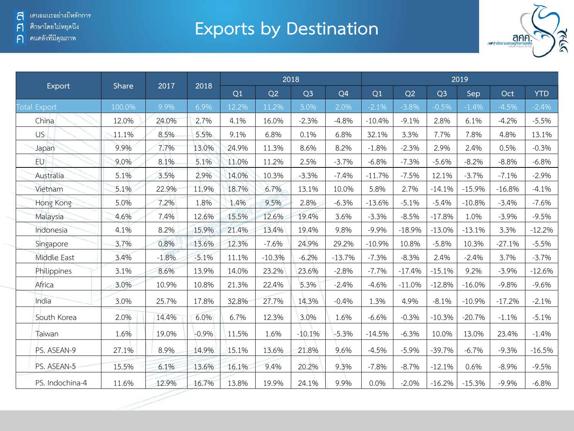#### ค คนคลังที่มีคุณภาพ

## **Exports by Destination**



|                     |        | 2017    |         |       |          | 2018           |                | 2019     |          |                |          |          |            |  |
|---------------------|--------|---------|---------|-------|----------|----------------|----------------|----------|----------|----------------|----------|----------|------------|--|
| Export              | Share  |         | 2018    | Q1    | Q2       | Q <sub>3</sub> | Q <sub>4</sub> | Q1       | Q2       | Q <sub>3</sub> | Sep      | Oct      | <b>YTD</b> |  |
| <b>Total Export</b> | 100.0% | 9.9%    | 6.9%    | 12.2% | 11.2%    | 3.0%           | 2.0%           | $-2.1%$  | $-3.8%$  | $-0.5%$        | $-1.4%$  | $-4.5%$  | $-2.4%$    |  |
| China               | 12.0%  | 24.0%   | 2.7%    | 4.1%  | 16.0%    | $-2.3%$        | $-4.8%$        | $-10.4%$ | $-9.1%$  | 2.8%           | 6.1%     | $-4.2%$  | $-5.5%$    |  |
| US.                 | 11.1%  | 8.5%    | 5.5%    | 9.1%  | 6.8%     | 0.1%           | 6.8%           | 32.1%    | 3.3%     | 7.7%           | 7.8%     | 4.8%     | 13.1%      |  |
| Japan               | 9.9%   | 7.7%    | 13.0%   | 24.9% | 11.3%    | 8.6%           | 8.2%           | $-1.8%$  | $-2.3%$  | 2.9%           | 2.4%     | 0.5%     | $-0.3%$    |  |
| <b>EU</b>           | 9.0%   | 8.1%    | 5.1%    | 11.0% | 11.2%    | 2.5%           | $-3.7%$        | $-6.8%$  | $-7.3%$  | $-5.6%$        | $-8.2%$  | $-8.8%$  | $-6.8%$    |  |
| Australia           | 5.1%   | 3.5%    | 2.9%    | 14.0% | 10.3%    | $-3.3%$        | $-7.4%$        | $-11.7%$ | $-7.5%$  | 12.1%          | $-3.7%$  | $-7.1%$  | $-2.9%$    |  |
| Vietnam             | 5.1%   | 22.9%   | 11.9%   | 18.7% | 6.7%     | 13.1%          | 10.0%          | 5.8%     | 2.7%     | $-14.1%$       | $-15.9%$ | $-16.8%$ | $-4.1%$    |  |
| Hong Kong           | 5.0%   | 7.2%    | 1.8%    | 1.4%  | 9.5%     | 2.8%           | $-6.3%$        | $-13.6%$ | $-5.1%$  | $-5.4%$        | $-10.8%$ | $-3.4%$  | $-7.6%$    |  |
| Malaysia            | 4.6%   | 7.4%    | 12.6%   | 15.5% | 12.6%    | 19.4%          | 3.6%           | $-3.3%$  | $-8.5%$  | $-17.8%$       | 1.0%     | $-3.9%$  | $-9.5%$    |  |
| Indonesia           | 4.1%   | 8.2%    | 15.9%   | 21.4% | 13.4%    | 19.4%          | 9.8%           | $-9.9%$  | $-18.9%$ | $-13.0%$       | $-13.1%$ | 3.3%     | $-12.2%$   |  |
| Singapore           | 3.7%   | 0.8%    | 13.6%   | 12.3% | $-7.6%$  | 24.9%          | 29.2%          | $-10.9%$ | 10.8%    | $-5.8%$        | 10.3%    | $-27.1%$ | $-5.5%$    |  |
| Middle East         | 3.4%   | $-1.8%$ | $-5.1%$ | 11.1% | $-10.3%$ | $-6.2%$        | $-13.7%$       | $-7.3%$  | $-8.3%$  | 2.4%           | $-2.4%$  | 3.7%     | $-3.7%$    |  |
| Philippines         | 3.1%   | 8.6%    | 13.9%   | 14.0% | 23.2%    | 23.6%          | $-2.8%$        | $-7.7%$  | $-17.4%$ | $-15.1%$       | 9.2%     | $-3.9%$  | $-12.6%$   |  |
| Africa              | 3.0%   | 10.9%   | 10.8%   | 21.3% | 22.4%    | 5.3%           | $-2.4%$        | $-4.6%$  | $-11.0%$ | $-12.8%$       | $-16.0%$ | $-9.8%$  | $-9.6%$    |  |
| India               | 3.0%   | 25.7%   | 17.8%   | 32.8% | 27.7%    | 14.3%          | $-0.4%$        | 1.3%     | 4.9%     | $-8.1%$        | $-10.9%$ | $-17.2%$ | $-2.1%$    |  |
| South Korea         | 2.0%   | 14.4%   | 6.0%    | 6.7%  | 12.3%    | 3.0%           | 1.6%           | $-6.6%$  | $-0.3%$  | $-10.3%$       | $-20.7%$ | $-1.1%$  | $-5.1%$    |  |
| Taiwan              | 1.6%   | 19.0%   | $-0.9%$ | 11.5% | 1.6%     | $-10.1%$       | $-5.3%$        | $-14.5%$ | $-6.3%$  | 10.0%          | 13.0%    | 23.4%    | $-1.4%$    |  |
| PS. ASEAN-9         | 27.1%  | 8.9%    | 14.9%   | 15.1% | 13.6%    | 21.8%          | 9.6%           | $-4.5%$  | $-5.9%$  | $-39.7%$       | $-6.7%$  | $-9.3%$  | $-16.5%$   |  |
| PS. ASEAN-5         | 15.5%  | 6.1%    | 13.6%   | 16.1% | 9.4%     | 20.2%          | 9.3%           | $-7.8%$  | $-8.7%$  | $-12.1%$       | 0.6%     | $-8.9%$  | $-9.5%$    |  |
| PS. Indochina-4     | 11.6%  | 12.9%   | 16.7%   | 13.8% | 19.9%    | 24.1%          | 9.9%           | 0.0%     | $-2.0%$  | $-16.2%$       | $-15.3%$ | $-9.9%$  | $-6.8%$    |  |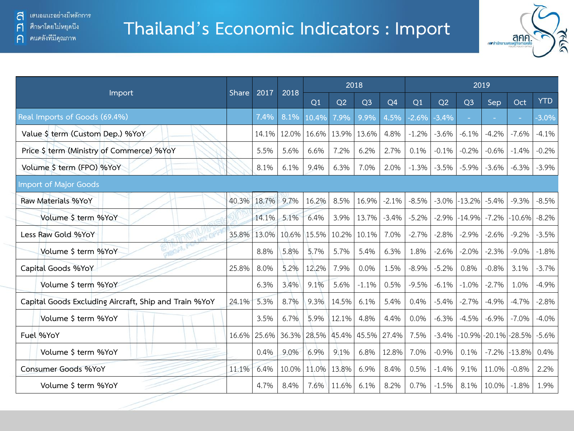#### **Thailand's Economic Indicators : Import**



| Import                                                |       | 2017<br><b>Share</b> | 2018  |       |       | 2018           |                | 2019    |         |                |          |          |            |  |
|-------------------------------------------------------|-------|----------------------|-------|-------|-------|----------------|----------------|---------|---------|----------------|----------|----------|------------|--|
|                                                       |       |                      |       | Q1    | Q2    | Q <sub>3</sub> | Q <sub>4</sub> | Q1      | Q2      | Q <sub>3</sub> | Sep      | Oct      | <b>YTD</b> |  |
| Real Imports of Goods (69.4%)                         |       | 7.4%                 | 8.1%  | 10.4% | 7.9%  | 9.9%           | 4.5%           | $-2.6%$ | $-3.4%$ |                |          |          | $-3.0\%$   |  |
| Value \$ term (Custom Dep.) %YoY                      |       | 14.1%                | 12.0% | 16.6% | 13.9% | 13.6%          | 4.8%           | $-1.2%$ | $-3.6%$ | $-6.1%$        | $-4.2%$  | $-7.6%$  | $-4.1%$    |  |
| Price \$ term (Ministry of Commerce) %YoY             |       | 5.5%                 | 5.6%  | 6.6%  | 7.2%  | 6.2%           | 2.7%           | 0.1%    | $-0.1%$ | $-0.2%$        | $-0.6%$  | $-1.4%$  | $-0.2%$    |  |
| Volume \$ term (FPO) %YoY                             |       | 8.1%                 | 6.1%  | 9.4%  | 6.3%  | 7.0%           | 2.0%           | $-1.3%$ | $-3.5%$ | $-5.9%$        | $-3.6%$  | $-6.3%$  | $-3.9%$    |  |
| <b>Import of Major Goods</b>                          |       |                      |       |       |       |                |                |         |         |                |          |          |            |  |
| Raw Materials %YoY                                    | 40.3% | 18.7%                | 9.7%  | 16.2% | 8.5%  | 16.9%          | $-2.1%$        | $-8.5%$ | $-3.0%$ | $-13.2%$       | $-5.4%$  | $-9.3%$  | $-8.5%$    |  |
| Volume \$ term %YoY                                   |       | 14.1%                | 5.1%  | 6.4%  | 3.9%  | 13.7%          | $-3.4%$        | $-5.2%$ | $-2.9%$ | $-14.9%$       | $-7.2%$  | $-10.6%$ | $-8.2%$    |  |
| Less Raw Gold %YoY                                    | 35.8% | 13.0%                | 10.6% | 15.5% | 10.2% | 10.1%          | 7.0%           | $-2.7%$ | $-2.8%$ | $-2.9%$        | $-2.6%$  | $-9.2%$  | $-3.5%$    |  |
| Volume \$ term %YoY                                   |       | 8.8%                 | 5.8%  | 5.7%  | 5.7%  | 5.4%           | 6.3%           | 1.8%    | $-2.6%$ | $-2.0%$        | $-2.3%$  | $-9.0%$  | $-1.8%$    |  |
| Capital Goods %YoY                                    | 25.8% | 8.0%                 | 5.2%  | 12.2% | 7.9%  | 0.0%           | 1.5%           | $-8.9%$ | $-5.2%$ | 0.8%           | $-0.8%$  | 3.1%     | $-3.7%$    |  |
| Volume \$ term %YoY                                   |       | 6.3%                 | 3.4%  | 9.1%  | 5.6%  | $-1.1%$        | 0.5%           | $-9.5%$ | $-6.1%$ | $-1.0%$        | $-2.7%$  | 1.0%     | $-4.9%$    |  |
| Capital Goods Excluding Aircraft, Ship and Train %YoY | 24.1% | 5.3%                 | 8.7%  | 9.3%  | 14.5% | 6.1%           | 5.4%           | 0.4%    | $-5.4%$ | $-2.7%$        | $-4.9%$  | $-4.7%$  | $-2.8%$    |  |
| Volume \$ term %YoY                                   |       | 3.5%                 | 6.7%  | 5.9%  | 12.1% | 4.8%           | 4.4%           | 0.0%    | $-6.3%$ | $-4.5%$        | $-6.9%$  | $-7.0%$  | $-4.0%$    |  |
| Fuel %YoY                                             | 16.6% | 25.6%                | 36.3% | 28.5% | 45.4% | 45.5%          | 27.4%          | 7.5%    | $-3.4%$ | $-10.9%$       | $-20.1%$ | $-28.5%$ | $-5.6%$    |  |
| Volume \$ term %YoY                                   |       | 0.4%                 | 9.0%  | 6.9%  | 9.1%  | 6.8%           | 12.8%          | 7.0%    | $-0.9%$ | 0.1%           | $-7.2%$  | $-13.8%$ | 0.4%       |  |
| Consumer Goods %YoY                                   | 11.1% | 6.4%                 | 10.0% | 11.0% | 13.8% | 6.9%           | 8.4%           | 0.5%    | $-1.4%$ | 9.1%           | 11.0%    | $-0.8%$  | 2.2%       |  |
| Volume \$ term %YoY                                   |       | 4.7%                 | 8.4%  | 7.6%  | 11.6% | 6.1%           | 8.2%           | 0.7%    | $-1.5%$ | 8.1%           | 10.0%    | $-1.8%$  | 1.9%       |  |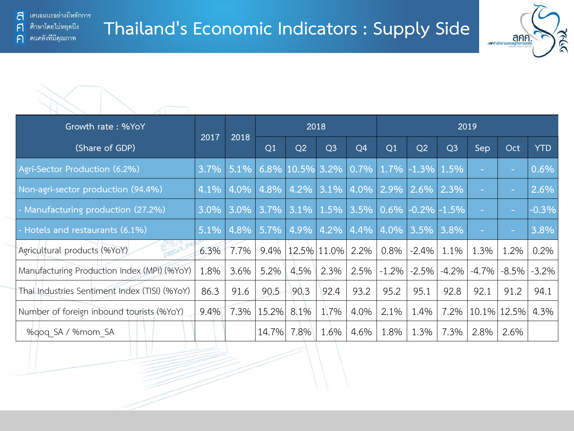

| Growth rate: %YoY                             |         | 2018     |          |                | 2018                            |                 |          |                       |                | 2019     |             |            |
|-----------------------------------------------|---------|----------|----------|----------------|---------------------------------|-----------------|----------|-----------------------|----------------|----------|-------------|------------|
| (Share of GDP)                                | 2017    |          |          | Q <sub>2</sub> | Q <sub>3</sub>                  | Q4              | Q1       | Q2                    | Q <sub>3</sub> | Sep      | Oct         | <b>YTD</b> |
| Agri-Sector Production (6.2%)                 | $3.7\%$ | 5.1%     |          |                | 6.8% 10.5% 3.2% 0.7% 1.7% -1.3% |                 |          |                       | 1.5%           |          |             | 0.6%       |
| Non-agri-sector production (94.4%)            | 4.1%    | $14.0\%$ | $ 4.8\%$ | 4.2%           | 3.1%                            | $ 4.0\% 2.9\% $ |          | 2.6%                  | 2.3%           |          |             | 2.6%       |
| - Manufacturing production (27.2%)            | $3.0\%$ | $3.0\%$  | 3.7%     | 3.1%           | 1.5%                            |                 |          | $ 3.5\% 0.6\% $ -0.2% | $-1.5%$        |          |             | $-0.3%$    |
| - Hotels and restaurants (6.1%)               | 5.1%    | 4.8%     | $5.7\%$  | 4.9%           | 4.2%                            | $ 4.4\% $       |          | $4.0\%$ 3.5%          | 3.8%           | $\sim$   |             | 3.8%       |
| Agricultural products (%YoY)                  | 6.3%    | 7.7%     |          |                | $9.4\%$   12.5%   11.0%         | 2.2%            | $0.8\%$  | $-2.4%$               | 1.1%           | 1.3%     | 1.2%        | 0.2%       |
| Manufacturing Production Index (MPI) (%YoY)   | 1.8%    | 3.6%     | 5.2%     | 4.5%           | 2.3%                            | 2.5%            | $-1.2\%$ | $-2.5%$               | $-4.2%$        | $-4.7\%$ | $-8.5\%$    | $-3.2\%$   |
| Thai Industries Sentiment Index (TISI) (%YoY) | 86.3    | 91.6     | 90.5     | 90.3           | 92.4                            | 93.2            | 95.2     | 95.1                  | 92.8           | 92.1     | 91.2        | 94.1       |
| Number of foreign inbound tourists (%YoY)     | 9.4%    | 7.3%     | 15.2%    | 8.1%           | 1.7%                            | 4.0%            | 2.1%     | 1.4%                  | 7.2%           |          | 10.1% 12.5% | 4.3%       |
| %gog SA / %mom SA                             |         |          | 14.7%    | 7.8%           | 1.6%                            | 4.6%            | 1.8%     | 1.3%                  | 7.3%           | 2.8%     | 2.6%        |            |